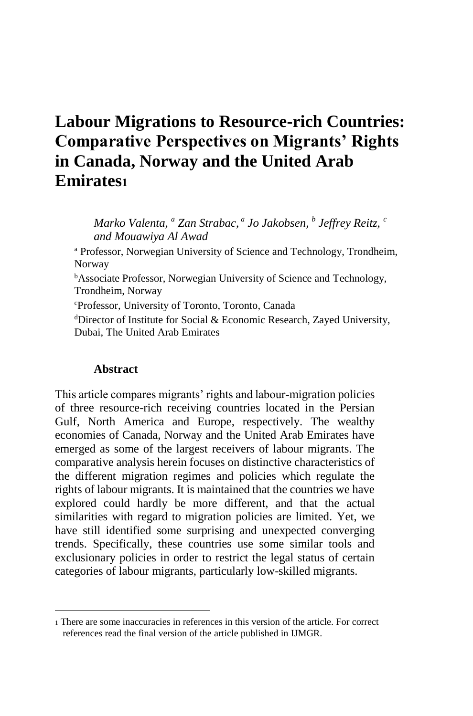# **Labour Migrations to Resource-rich Countries: Comparative Perspectives on Migrants' Rights in Canada, Norway and the United Arab Emirates<sup>1</sup>**

*Marko Valenta, <sup>a</sup> Zan Strabac, <sup>a</sup> Jo Jakobsen, <sup>b</sup> Jeffrey Reitz, <sup>c</sup> and Mouawiya Al Awad*

<sup>a</sup> Professor, Norwegian University of Science and Technology, Trondheim, Norway

<sup>b</sup>Associate Professor, Norwegian University of Science and Technology, Trondheim, Norway

<sup>c</sup>Professor, University of Toronto, Toronto, Canada

<sup>d</sup>Director of Institute for Social & Economic Research, Zayed University, Dubai, The United Arab Emirates

#### **Abstract**

 $\overline{a}$ 

This article compares migrants' rights and labour-migration policies of three resource-rich receiving countries located in the Persian Gulf, North America and Europe, respectively. The wealthy economies of Canada, Norway and the United Arab Emirates have emerged as some of the largest receivers of labour migrants. The comparative analysis herein focuses on distinctive characteristics of the different migration regimes and policies which regulate the rights of labour migrants. It is maintained that the countries we have explored could hardly be more different, and that the actual similarities with regard to migration policies are limited. Yet, we have still identified some surprising and unexpected converging trends. Specifically, these countries use some similar tools and exclusionary policies in order to restrict the legal status of certain categories of labour migrants, particularly low-skilled migrants.

<sup>1</sup> There are some inaccuracies in references in this version of the article. For correct references read the final version of the article published in IJMGR.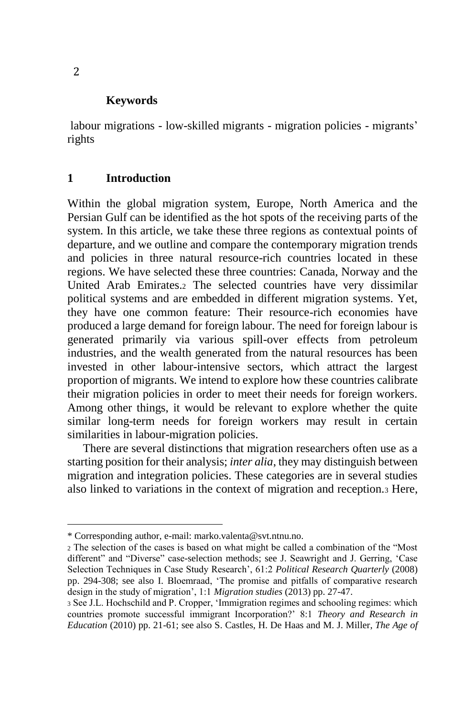#### **Keywords**

labour migrations - low-skilled migrants - migration policies - migrants' rights

#### **1 Introduction**

Within the global migration system, Europe, North America and the Persian Gulf can be identified as the hot spots of the receiving parts of the system. In this article, we take these three regions as contextual points of departure, and we outline and compare the contemporary migration trends and policies in three natural resource-rich countries located in these regions. We have selected these three countries: Canada, Norway and the United Arab Emirates.<sup>2</sup> The selected countries have very dissimilar political systems and are embedded in different migration systems. Yet, they have one common feature: Their resource-rich economies have produced a large demand for foreign labour. The need for foreign labour is generated primarily via various spill-over effects from petroleum industries, and the wealth generated from the natural resources has been invested in other labour-intensive sectors, which attract the largest proportion of migrants. We intend to explore how these countries calibrate their migration policies in order to meet their needs for foreign workers. Among other things, it would be relevant to explore whether the quite similar long-term needs for foreign workers may result in certain similarities in labour-migration policies.

There are several distinctions that migration researchers often use as a starting position for their analysis; *inter alia*, they may distinguish between migration and integration policies. These categories are in several studies also linked to variations in the context of migration and reception.<sup>3</sup> Here,

<sup>\*</sup> Corresponding author, e-mail: marko.valenta@svt.ntnu.no.

<sup>2</sup> The selection of the cases is based on what might be called a combination of the "Most different" and "Diverse" case-selection methods; see J. Seawright and J. Gerring, 'Case Selection Techniques in Case Study Research', 61:2 *Political Research Quarterly* (2008) pp. 294-308; see also I. Bloemraad, 'The promise and pitfalls of comparative research design in the study of migration', 1:1 *Migration studies* (2013) pp. 27-47.

<sup>3</sup> See J.L. Hochschild and P. Cropper, 'Immigration regimes and schooling regimes: which countries promote successful immigrant Incorporation?' 8:1 *Theory and Research in Education* (2010) pp. 21-61; see also S. Castles, H. De Haas and M. J. Miller, *The Age of*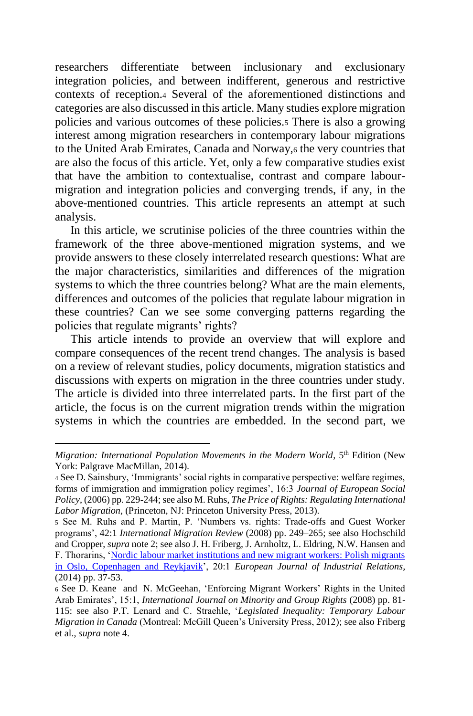researchers differentiate between inclusionary and exclusionary integration policies, and between indifferent, generous and restrictive contexts of reception.<sup>4</sup> Several of the aforementioned distinctions and categories are also discussed in this article. Many studies explore migration policies and various outcomes of these policies.<sup>5</sup> There is also a growing interest among migration researchers in contemporary labour migrations to the United Arab Emirates, Canada and Norway,<sup>6</sup> the very countries that are also the focus of this article. Yet, only a few comparative studies exist that have the ambition to contextualise, contrast and compare labourmigration and integration policies and converging trends, if any, in the above-mentioned countries. This article represents an attempt at such analysis.

In this article, we scrutinise policies of the three countries within the framework of the three above-mentioned migration systems, and we provide answers to these closely interrelated research questions: What are the major characteristics, similarities and differences of the migration systems to which the three countries belong? What are the main elements, differences and outcomes of the policies that regulate labour migration in these countries? Can we see some converging patterns regarding the policies that regulate migrants' rights?

This article intends to provide an overview that will explore and compare consequences of the recent trend changes. The analysis is based on a review of relevant studies, policy documents, migration statistics and discussions with experts on migration in the three countries under study. The article is divided into three interrelated parts. In the first part of the article, the focus is on the current migration trends within the migration systems in which the countries are embedded. In the second part, we

*Migration: International Population Movements in the Modern World*, 5<sup>th</sup> Edition (New York: Palgrave MacMillan, 2014).

<sup>4</sup> See D. Sainsbury, 'Immigrants' social rights in comparative perspective: welfare regimes, forms of immigration and immigration policy regimes', 16:3 *Journal of European Social Policy*, (2006) pp. 229-244; see also M. Ruhs, *The Price of Rights: Regulating International Labor Migration*, (Princeton, NJ: Princeton University Press, 2013).

<sup>5</sup> See M. Ruhs and P. Martin, P. 'Numbers vs. rights: Trade-offs and Guest Worker programs', 42:1 *International Migration Review* (2008) pp. 249–265; see also Hochschild and Cropper, *supra* note 2; see also J. H. Friberg, J. Arnholtz, L. Eldring, N.W. Hansen and F. Thorarins, ['Nordic labour market institutions and new migrant workers: Polish migrants](http://ejd.sagepub.com/content/20/1/37?etoc)  [in Oslo, Copenhagen and Reykjavik'](http://ejd.sagepub.com/content/20/1/37?etoc), 20:1 *European Journal of Industrial Relations,* (2014) pp. 37-53.

<sup>6</sup> See D. [Keane](http://booksandjournals.brillonline.com/search?value1=&option1=all&value2=David+Keane&option2=author) and [N. McGeehan,](http://booksandjournals.brillonline.com/search?value1=&option1=all&value2=Nicholas+McGeehan&option2=author) 'Enforcing Migrant Workers' Rights in the United Arab Emirates', 15:1, *[International Journal on Minority and Group Rights](http://booksandjournals.brillonline.com/content/journals/15718115)* (2008) pp. 81- 115: see also P.T. Lenard and C. Straehle, '*Legislated Inequality: Temporary Labour Migration in Canada* (Montreal: McGill Queen's University Press, 2012); see also Friberg et al., *supra* note 4.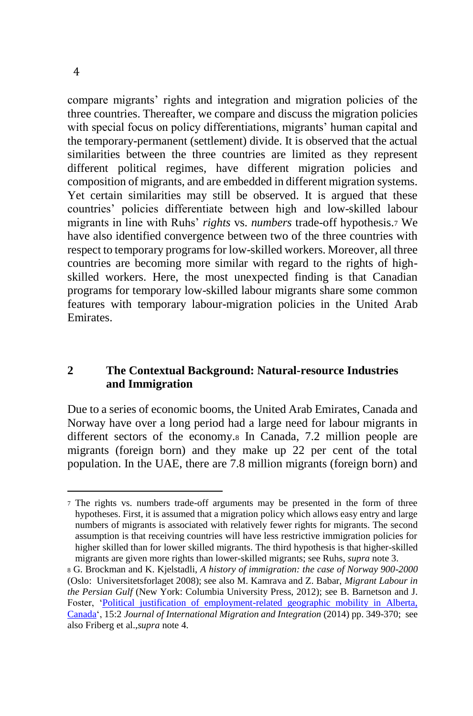compare migrants' rights and integration and migration policies of the three countries. Thereafter, we compare and discuss the migration policies with special focus on policy differentiations, migrants' human capital and the temporary-permanent (settlement) divide. It is observed that the actual similarities between the three countries are limited as they represent different political regimes, have different migration policies and composition of migrants, and are embedded in different migration systems. Yet certain similarities may still be observed. It is argued that these countries' policies differentiate between high and low-skilled labour migrants in line with Ruhs' *rights* vs. *numbers* trade-off hypothesis.<sup>7</sup> We have also identified convergence between two of the three countries with respect to temporary programs for low-skilled workers. Moreover, all three countries are becoming more similar with regard to the rights of highskilled workers. Here, the most unexpected finding is that Canadian programs for temporary low-skilled labour migrants share some common features with temporary labour-migration policies in the United Arab Emirates.

## **2 The Contextual Background: Natural-resource Industries and Immigration**

Due to a series of economic booms, the United Arab Emirates, Canada and Norway have over a long period had a large need for labour migrants in different sectors of the economy.<sup>8</sup> In Canada, 7.2 million people are migrants (foreign born) and they make up 22 per cent of the total population. In the UAE, there are 7.8 million migrants (foreign born) and

<u>.</u>

<sup>7</sup> The rights vs. numbers trade-off arguments may be presented in the form of three hypotheses. First, it is assumed that a migration policy which allows easy entry and large numbers of migrants is associated with relatively fewer rights for migrants. The second assumption is that receiving countries will have less restrictive immigration policies for higher skilled than for lower skilled migrants. The third hypothesis is that higher-skilled migrants are given more rights than lower-skilled migrants; see Ruhs, *supra* note 3.

<sup>8</sup> G. Brockman and K. Kjelstadli, *A history of immigration: the case of Norway 900-2000* (Oslo: Universitetsforlaget 2008); see also M. Kamrava and Z. Babar, *Migrant Labour in the Persian Gulf* (New York: Columbia University Press, 2012); see B. Barnetson and J. Foster, ['Political justification of employment-related geographic mobility in Alberta,](http://link.springer.com/article/10.1007%2Fs12134-013-0292-6)  [Canada'](http://link.springer.com/article/10.1007%2Fs12134-013-0292-6), 15:2 *Journal of International Migration and Integration* (2014) pp. 349-370; see also Friberg et al.,*supra* note 4.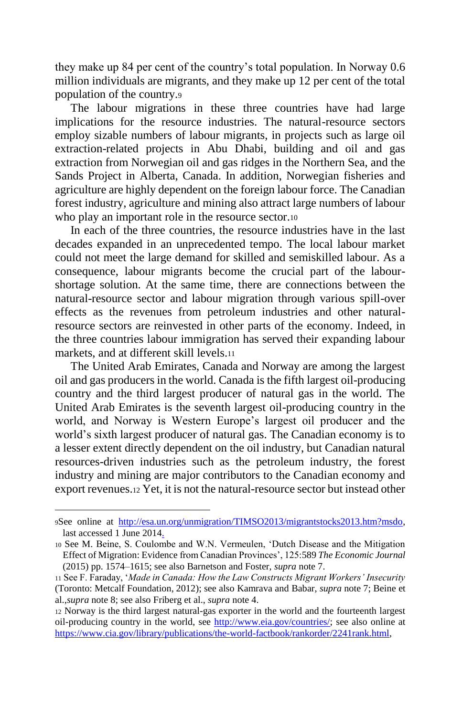they make up 84 per cent of the country's total population. In Norway 0.6 million individuals are migrants, and they make up 12 per cent of the total population of the country.<sup>9</sup>

The labour migrations in these three countries have had large implications for the resource industries. The natural-resource sectors employ sizable numbers of labour migrants, in projects such as large oil extraction-related projects in Abu Dhabi, building and oil and gas extraction from Norwegian oil and gas ridges in the Northern Sea, and the Sands Project in Alberta, Canada. In addition, Norwegian fisheries and agriculture are highly dependent on the foreign labour force. The Canadian forest industry, agriculture and mining also attract large numbers of labour who play an important role in the resource sector.<sup>10</sup>

In each of the three countries, the resource industries have in the last decades expanded in an unprecedented tempo. The local labour market could not meet the large demand for skilled and semiskilled labour. As a consequence, labour migrants become the crucial part of the labourshortage solution. At the same time, there are connections between the natural-resource sector and labour migration through various spill-over effects as the revenues from petroleum industries and other naturalresource sectors are reinvested in other parts of the economy. Indeed, in the three countries labour immigration has served their expanding labour markets, and at different skill levels.<sup>11</sup>

The United Arab Emirates, Canada and Norway are among the largest oil and gas producers in the world. Canada is the fifth largest oil-producing country and the third largest producer of natural gas in the world. The United Arab Emirates is the seventh largest oil-producing country in the world, and Norway is Western Europe's largest oil producer and the world's sixth largest producer of natural gas. The Canadian economy is to a lesser extent directly dependent on the oil industry, but Canadian natural resources-driven industries such as the petroleum industry, the forest industry and mining are major contributors to the Canadian economy and export revenues.<sup>12</sup> Yet, it is not the natural-resource sector but instead other

<sup>9</sup>See online at [http://esa.un.org/unmigration/TIMSO2013/migrantstocks2013.htm?msdo,](http://esa.un.org/unmigration/TIMSO2013/migrantstocks2013.htm?msdo)  last accessed 1 June 2014.

<sup>10</sup> See M. Beine, S. Coulombe and W.N. Vermeulen, 'Dutch Disease and the Mitigation Effect of Migration: Evidence from Canadian Provinces', 125:589 *The Economic Journal*  (2015) pp. 1574–1615; see also Barnetson and Foster, *supra* note 7.

<sup>11</sup> See F. Faraday, '*Made in Canada: How the Law Constructs Migrant Workers' Insecurity*  (Toronto: Metcalf Foundation, 2012); see also Kamrava and Babar, *supra* note 7; Beine et al.,*supra* note 8; see also Friberg et al., *supra* note 4.

<sup>12</sup> Norway is the third largest natural-gas exporter in the world and the fourteenth largest oil-producing country in the world, see [http://www.eia.gov/countries/;](http://www.eia.gov/countries/) see also online at [https://www.cia.gov/library/publications/the-world-factbook/rankorder/2241rank.html,](https://www.cia.gov/library/publications/the-world-factbook/rankorder/2241rank.html)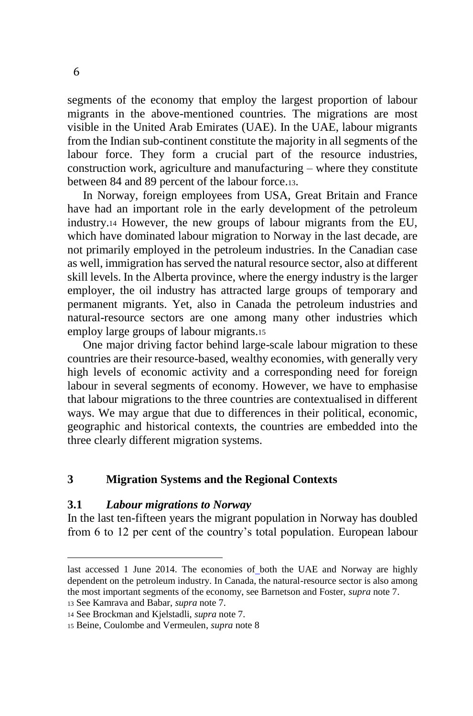segments of the economy that employ the largest proportion of labour migrants in the above-mentioned countries. The migrations are most visible in the United Arab Emirates (UAE). In the UAE, labour migrants from the Indian sub-continent constitute the majority in all segments of the labour force. They form a crucial part of the resource industries, construction work, agriculture and manufacturing – where they constitute between 84 and 89 percent of the labour force.13.

In Norway, foreign employees from USA, Great Britain and France have had an important role in the early development of the petroleum industry.<sup>14</sup> However, the new groups of labour migrants from the EU, which have dominated labour migration to Norway in the last decade, are not primarily employed in the petroleum industries. In the Canadian case as well, immigration has served the natural resource sector, also at different skill levels. In the Alberta province, where the energy industry is the larger employer, the oil industry has attracted large groups of temporary and permanent migrants. Yet, also in Canada the petroleum industries and natural-resource sectors are one among many other industries which employ large groups of labour migrants.<sup>15</sup>

One major driving factor behind large-scale labour migration to these countries are their resource-based, wealthy economies, with generally very high levels of economic activity and a corresponding need for foreign labour in several segments of economy. However, we have to emphasise that labour migrations to the three countries are contextualised in different ways. We may argue that due to differences in their political, economic, geographic and historical contexts, the countries are embedded into the three clearly different migration systems.

#### **3 Migration Systems and the Regional Contexts**

#### **3.1** *Labour migrations to Norway*

In the last ten-fifteen years the migrant population in Norway has doubled from 6 to 12 per cent of the country's total population. European labour

last accessed 1 June 2014. The economies of both the UAE and Norway are highly dependent on the petroleum industry. In Canada, the natural-resource sector is also among the most important segments of the economy, see Barnetson and Foster, *supra* note 7.

<sup>13</sup> See Kamrava and Babar, *supra* note 7.

<sup>14</sup> See Brockman and Kjelstadli, *supra* note 7.

<sup>15</sup> Beine, Coulombe and Vermeulen, *supra* note 8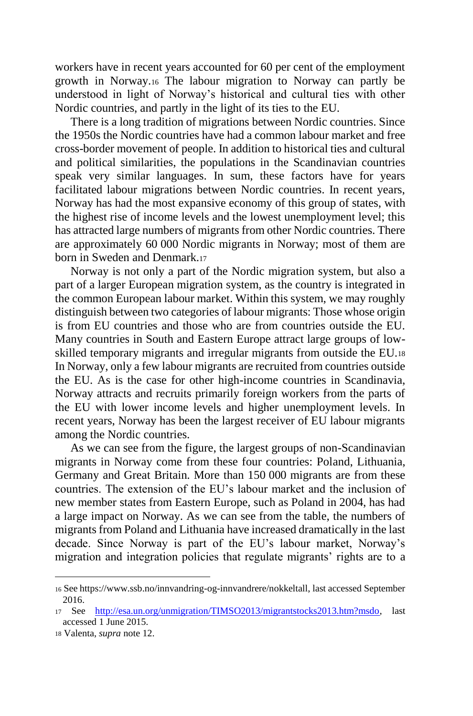workers have in recent years accounted for 60 per cent of the employment growth in Norway.<sup>16</sup> The labour migration to Norway can partly be understood in light of Norway's historical and cultural ties with other Nordic countries, and partly in the light of its ties to the EU.

There is a long tradition of migrations between Nordic countries. Since the 1950s the Nordic countries have had a common labour market and free cross-border movement of people. In addition to historical ties and cultural and political similarities, the populations in the Scandinavian countries speak very similar languages. In sum, these factors have for years facilitated labour migrations between Nordic countries. In recent years, Norway has had the most expansive economy of this group of states, with the highest rise of income levels and the lowest unemployment level; this has attracted large numbers of migrants from other Nordic countries. There are approximately 60 000 Nordic migrants in Norway; most of them are born in Sweden and Denmark.<sup>17</sup>

Norway is not only a part of the Nordic migration system, but also a part of a larger European migration system, as the country is integrated in the common European labour market. Within this system, we may roughly distinguish between two categories of labour migrants: Those whose origin is from EU countries and those who are from countries outside the EU. Many countries in South and Eastern Europe attract large groups of lowskilled temporary migrants and irregular migrants from outside the EU.<sup>18</sup> In Norway, only a few labour migrants are recruited from countries outside the EU. As is the case for other high-income countries in Scandinavia, Norway attracts and recruits primarily foreign workers from the parts of the EU with lower income levels and higher unemployment levels. In recent years, Norway has been the largest receiver of EU labour migrants among the Nordic countries.

As we can see from the figure, the largest groups of non-Scandinavian migrants in Norway come from these four countries: Poland, Lithuania, Germany and Great Britain. More than 150 000 migrants are from these countries. The extension of the EU's labour market and the inclusion of new member states from Eastern Europe, such as Poland in 2004, has had a large impact on Norway. As we can see from the table, the numbers of migrants from Poland and Lithuania have increased dramatically in the last decade. Since Norway is part of the EU's labour market, Norway's migration and integration policies that regulate migrants' rights are to a

<sup>16</sup> See https://www.ssb.no/innvandring-og-innvandrere/nokkeltall, last accessed September 2016.

<sup>17</sup> See [http://esa.un.org/unmigration/TIMSO2013/migrantstocks2013.htm?msdo,](http://esa.un.org/unmigration/TIMSO2013/migrantstocks2013.htm?msdo) last accessed 1 June 2015.

<sup>18</sup> Valenta, *supra* note 12.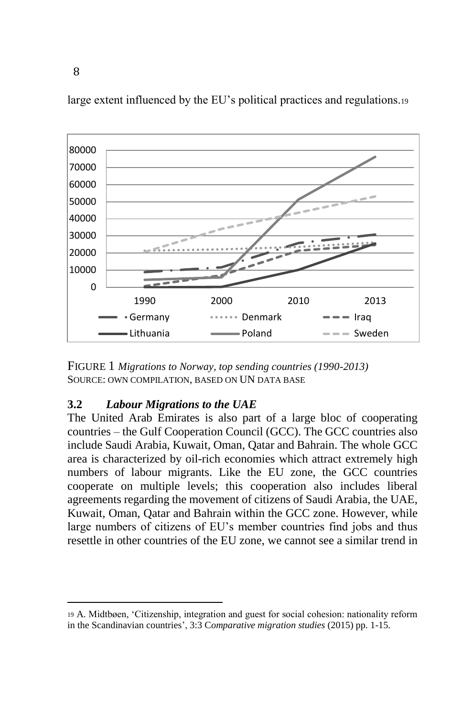

large extent influenced by the EU's political practices and regulations.<sup>19</sup>

FIGURE 1 *Migrations to Norway, top sending countries (1990-2013)* SOURCE: OWN COMPILATION, BASED ON UN DATA BASE

## **3.2** *Labour Migrations to the UAE*

The United Arab Emirates is also part of a large bloc of cooperating countries – the Gulf Cooperation Council (GCC). The GCC countries also include Saudi Arabia, Kuwait, Oman, Qatar and Bahrain. The whole GCC area is characterized by oil-rich economies which attract extremely high numbers of labour migrants. Like the EU zone, the GCC countries cooperate on multiple levels; this cooperation also includes liberal agreements regarding the movement of citizens of Saudi Arabia, the UAE, Kuwait, Oman, Qatar and Bahrain within the GCC zone. However, while large numbers of citizens of EU's member countries find jobs and thus resettle in other countries of the EU zone, we cannot see a similar trend in

<sup>19</sup> A. Midtbøen, 'Citizenship, integration and guest for social cohesion: nationality reform in the Scandinavian countries', 3:3 C*omparative migration studies* (2015) pp. 1-15.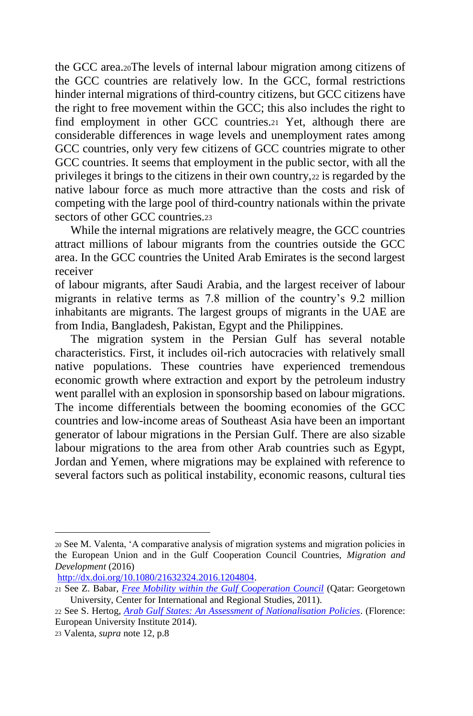the GCC area.20The levels of internal labour migration among citizens of the GCC countries are relatively low. In the GCC, formal restrictions hinder internal migrations of third-country citizens, but GCC citizens have the right to free movement within the GCC; this also includes the right to find employment in other GCC countries.<sup>21</sup> Yet, although there are considerable differences in wage levels and unemployment rates among GCC countries, only very few citizens of GCC countries migrate to other GCC countries. It seems that employment in the public sector, with all the privileges it brings to the citizens in their own country,<sup>22</sup> is regarded by the native labour force as much more attractive than the costs and risk of competing with the large pool of third-country nationals within the private sectors of other GCC countries.<sup>23</sup>

While the internal migrations are relatively meagre, the GCC countries attract millions of labour migrants from the countries outside the GCC area. In the GCC countries the United Arab Emirates is the second largest receiver

of labour migrants, after Saudi Arabia, and the largest receiver of labour migrants in relative terms as 7.8 million of the country's 9.2 million inhabitants are migrants. The largest groups of migrants in the UAE are from India, Bangladesh, Pakistan, Egypt and the Philippines.

The migration system in the Persian Gulf has several notable characteristics. First, it includes oil-rich autocracies with relatively small native populations. These countries have experienced tremendous economic growth where extraction and export by the petroleum industry went parallel with an explosion in sponsorship based on labour migrations. The income differentials between the booming economies of the GCC countries and low-income areas of Southeast Asia have been an important generator of labour migrations in the Persian Gulf. There are also sizable labour migrations to the area from other Arab countries such as Egypt, Jordan and Yemen, where migrations may be explained with reference to several factors such as political instability, economic reasons, cultural ties

<sup>20</sup> See M. Valenta, 'A comparative analysis of migration systems and migration policies in the European Union and in the Gulf Cooperation Council Countries, *Migration and Development* (2016)

[http://dx.doi.org/10.1080/21632324.2016.1204804.](http://dx.doi.org/10.1080/21632324.2016.1204804)

<sup>21</sup> See Z. Babar, *[Free Mobility within the Gulf Cooperation Council](https://repository.library.georgetown.edu/handle/10822/558290)* (Qatar: Georgetown University, Center for International and Regional Studies, 2011).

<sup>22</sup> See S. Hertog, *[Arab Gulf States: An Assessment of Nationalisation Policies](http://cadmus.eui.eu/handle/1814/32156)*. (Florence: European University Institute 2014).

<sup>23</sup> Valenta, *supra* note 12, p.8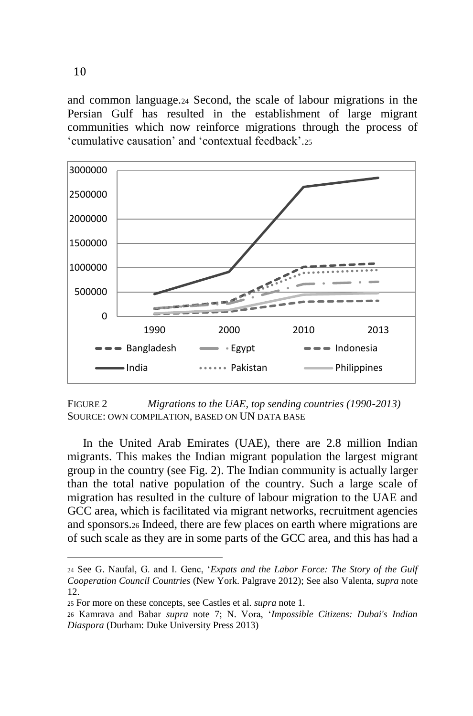and common language.<sup>24</sup> Second, the scale of labour migrations in the Persian Gulf has resulted in the establishment of large migrant communities which now reinforce migrations through the process of 'cumulative causation' and 'contextual feedback'.<sup>25</sup>



FIGURE 2 *Migrations to the UAE, top sending countries (1990-2013)* SOURCE: OWN COMPILATION, BASED ON UN DATA BASE

In the United Arab Emirates (UAE), there are 2.8 million Indian migrants. This makes the Indian migrant population the largest migrant group in the country (see Fig. 2). The Indian community is actually larger than the total native population of the country. Such a large scale of migration has resulted in the culture of labour migration to the UAE and GCC area, which is facilitated via migrant networks, recruitment agencies and sponsors.<sup>26</sup> Indeed, there are few places on earth where migrations are of such scale as they are in some parts of the GCC area, and this has had a

<sup>24</sup> See G. Naufal, G. and I. Genc, '*Expats and the Labor Force: The Story of the Gulf Cooperation Council Countries* (New York. Palgrave 2012); See also Valenta, *supra* note 12.

<sup>25</sup> For more on these concepts, see Castles et al. *supra* note 1.

<sup>26</sup> Kamrava and Babar *supra* note 7; N. Vora, '*Impossible Citizens: Dubai's Indian Diaspora* (Durham: Duke University Press 2013)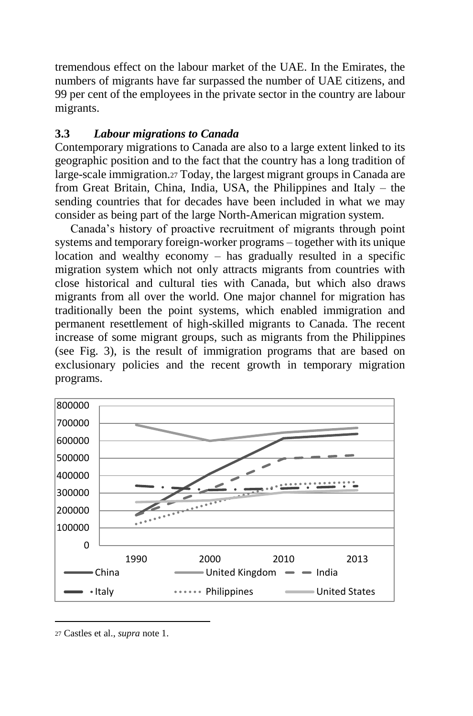tremendous effect on the labour market of the UAE. In the Emirates, the numbers of migrants have far surpassed the number of UAE citizens, and 99 per cent of the employees in the private sector in the country are labour migrants.

## **3.3** *Labour migrations to Canada*

Contemporary migrations to Canada are also to a large extent linked to its geographic position and to the fact that the country has a long tradition of large-scale immigration.<sup>27</sup> Today, the largest migrant groups in Canada are from Great Britain, China, India, USA, the Philippines and Italy – the sending countries that for decades have been included in what we may consider as being part of the large North-American migration system.

Canada's history of proactive recruitment of migrants through point systems and temporary foreign-worker programs – together with its unique location and wealthy economy – has gradually resulted in a specific migration system which not only attracts migrants from countries with close historical and cultural ties with Canada, but which also draws migrants from all over the world. One major channel for migration has traditionally been the point systems, which enabled immigration and permanent resettlement of high-skilled migrants to Canada. The recent increase of some migrant groups, such as migrants from the Philippines (see Fig. 3), is the result of immigration programs that are based on exclusionary policies and the recent growth in temporary migration programs.



<sup>27</sup> Castles et al., *supra* note 1.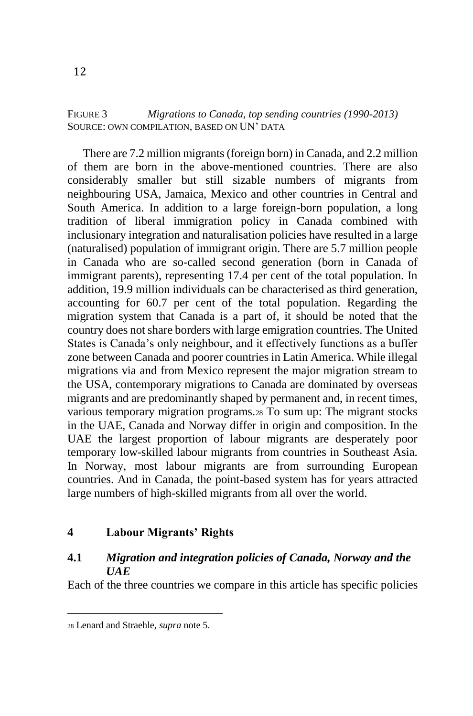FIGURE 3 *Migrations to Canada, top sending countries (1990-2013)* SOURCE: OWN COMPILATION, BASED ON UN' DATA

There are 7.2 million migrants (foreign born) in Canada, and 2.2 million of them are born in the above-mentioned countries. There are also considerably smaller but still sizable numbers of migrants from neighbouring USA, Jamaica, Mexico and other countries in Central and South America. In addition to a large foreign-born population, a long tradition of liberal immigration policy in Canada combined with inclusionary integration and naturalisation policies have resulted in a large (naturalised) population of immigrant origin. There are 5.7 million people in Canada who are so-called second generation (born in Canada of immigrant parents), representing 17.4 per cent of the total population. In addition, 19.9 million individuals can be characterised as third generation, accounting for 60.7 per cent of the total population. Regarding the migration system that Canada is a part of, it should be noted that the country does not share borders with large emigration countries. The United States is Canada's only neighbour, and it effectively functions as a buffer zone between Canada and poorer countries in Latin America. While illegal migrations via and from Mexico represent the major migration stream to the USA, contemporary migrations to Canada are dominated by overseas migrants and are predominantly shaped by permanent and, in recent times, various temporary migration programs.<sup>28</sup> To sum up: The migrant stocks in the UAE, Canada and Norway differ in origin and composition. In the UAE the largest proportion of labour migrants are desperately poor temporary low-skilled labour migrants from countries in Southeast Asia. In Norway, most labour migrants are from surrounding European countries. And in Canada, the point-based system has for years attracted large numbers of high-skilled migrants from all over the world.

## **4 Labour Migrants' Rights**

## **4.1** *Migration and integration policies of Canada, Norway and the UAE*

Each of the three countries we compare in this article has specific policies

<sup>28</sup> Lenard and Straehle, *supra* note 5.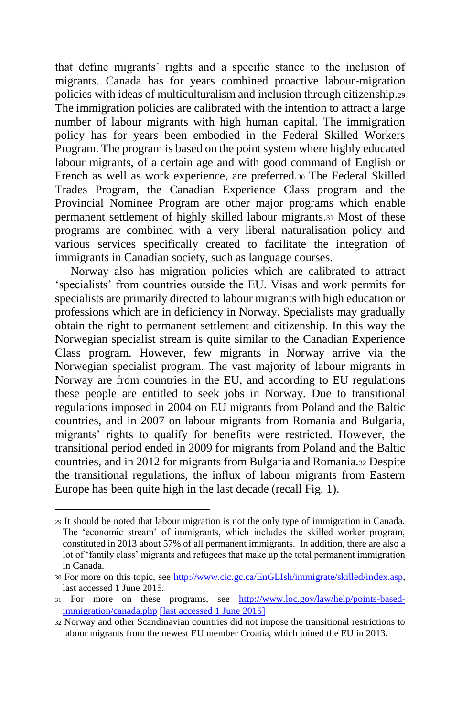that define migrants' rights and a specific stance to the inclusion of migrants. Canada has for years combined proactive labour-migration policies with ideas of multiculturalism and inclusion through citizenship.<sup>29</sup> The immigration policies are calibrated with the intention to attract a large number of labour migrants with high human capital. The immigration policy has for years been embodied in the Federal Skilled Workers Program. The program is based on the point system where highly educated labour migrants, of a certain age and with good command of English or French as well as work experience, are preferred.<sup>30</sup> The Federal Skilled Trades Program, the Canadian Experience Class program and the Provincial Nominee Program are other major programs which enable permanent settlement of highly skilled labour migrants.<sup>31</sup> Most of these programs are combined with a very liberal naturalisation policy and various services specifically created to facilitate the integration of immigrants in Canadian society, such as language courses.

Norway also has migration policies which are calibrated to attract 'specialists' from countries outside the EU. Visas and work permits for specialists are primarily directed to labour migrants with high education or professions which are in deficiency in Norway. Specialists may gradually obtain the right to permanent settlement and citizenship. In this way the Norwegian specialist stream is quite similar to the Canadian Experience Class program. However, few migrants in Norway arrive via the Norwegian specialist program. The vast majority of labour migrants in Norway are from countries in the EU, and according to EU regulations these people are entitled to seek jobs in Norway. Due to transitional regulations imposed in 2004 on EU migrants from Poland and the Baltic countries, and in 2007 on labour migrants from Romania and Bulgaria, migrants' rights to qualify for benefits were restricted. However, the transitional period ended in 2009 for migrants from Poland and the Baltic countries, and in 2012 for migrants from Bulgaria and Romania.<sup>32</sup> Despite the transitional regulations, the influx of labour migrants from Eastern Europe has been quite high in the last decade (recall Fig. 1).

<sup>29</sup> It should be noted that labour migration is not the only type of immigration in Canada. The 'economic stream' of immigrants, which includes the skilled worker program, constituted in 2013 about 57% of all permanent immigrants. In addition, there are also a lot of 'family class' migrants and refugees that make up the total permanent immigration in Canada.

<sup>30</sup> For more on this topic, see [http://www.cic.gc.ca/EnGLIsh/immigrate/skilled/index.asp,](http://www.cic.gc.ca/EnGLIsh/immigrate/skilled/index.asp)  last accessed 1 June 2015.

<sup>31</sup> For more on these programs, see [http://www.loc.gov/law/help/points-based](http://www.loc.gov/law/help/points-based-immigration/canada.php)[immigration/canada.php](http://www.loc.gov/law/help/points-based-immigration/canada.php) [last accessed 1 June 2015]

<sup>32</sup> Norway and other Scandinavian countries did not impose the transitional restrictions to labour migrants from the newest EU member Croatia, which joined the EU in 2013.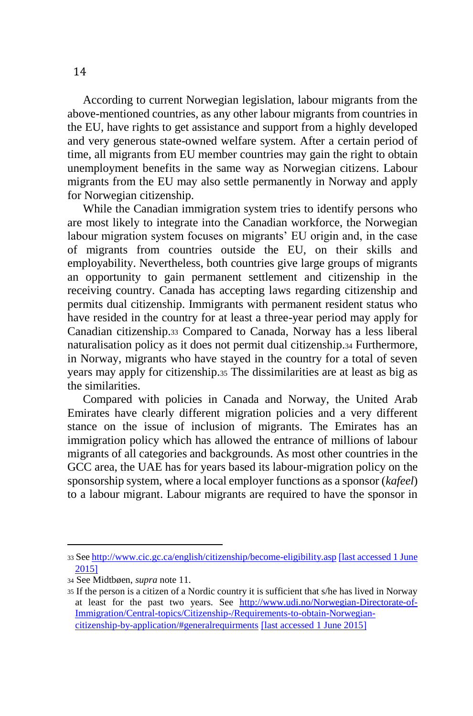According to current Norwegian legislation, labour migrants from the above-mentioned countries, as any other labour migrants from countries in the EU, have rights to get assistance and support from a highly developed and very generous state-owned welfare system. After a certain period of time, all migrants from EU member countries may gain the right to obtain unemployment benefits in the same way as Norwegian citizens. Labour migrants from the EU may also settle permanently in Norway and apply for Norwegian citizenship.

While the Canadian immigration system tries to identify persons who are most likely to integrate into the Canadian workforce, the Norwegian labour migration system focuses on migrants' EU origin and, in the case of migrants from countries outside the EU, on their skills and employability. Nevertheless, both countries give large groups of migrants an opportunity to gain permanent settlement and citizenship in the receiving country. Canada has accepting laws regarding citizenship and permits dual citizenship. Immigrants with permanent resident status who have resided in the country for at least a three-year period may apply for Canadian citizenship.<sup>33</sup> Compared to Canada, Norway has a less liberal naturalisation policy as it does not permit dual citizenship.<sup>34</sup> Furthermore, in Norway, migrants who have stayed in the country for a total of seven years may apply for citizenship.<sup>35</sup> The dissimilarities are at least as big as the similarities.

Compared with policies in Canada and Norway, the United Arab Emirates have clearly different migration policies and a very different stance on the issue of inclusion of migrants. The Emirates has an immigration policy which has allowed the entrance of millions of labour migrants of all categories and backgrounds. As most other countries in the GCC area, the UAE has for years based its labour-migration policy on the sponsorship system, where a local employer functions as a sponsor (*kafeel*) to a labour migrant. Labour migrants are required to have the sponsor in

<sup>33</sup> Se[e http://www.cic.gc.ca/english/citizenship/become-eligibility.asp](http://www.cic.gc.ca/english/citizenship/become-eligibility.asp) [last accessed 1 June 2015

<sup>34</sup> See Midtbøen, *supra* note 11.

<sup>35</sup> If the person is a citizen of a Nordic country it is sufficient that s/he has lived in Norway at least for the past two years. See [http://www.udi.no/Norwegian-Directorate-of-](http://www.udi.no/Norwegian-Directorate-of-Immigration/Central-topics/Citizenship-/Requirements-to-obtain-Norwegian-citizenship-by-application/#generalrequirments)[Immigration/Central-topics/Citizenship-/Requirements-to-obtain-Norwegian](http://www.udi.no/Norwegian-Directorate-of-Immigration/Central-topics/Citizenship-/Requirements-to-obtain-Norwegian-citizenship-by-application/#generalrequirments)[citizenship-by-application/#generalrequirments](http://www.udi.no/Norwegian-Directorate-of-Immigration/Central-topics/Citizenship-/Requirements-to-obtain-Norwegian-citizenship-by-application/#generalrequirments) last accessed 1 June 2015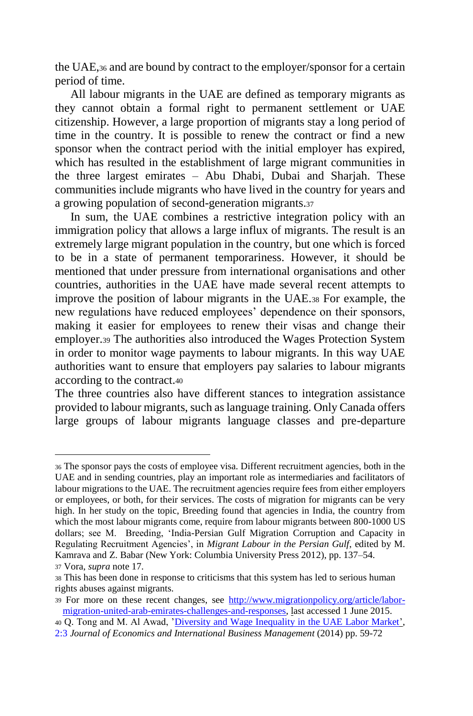the UAE,<sup>36</sup> and are bound by contract to the employer/sponsor for a certain period of time.

All labour migrants in the UAE are defined as temporary migrants as they cannot obtain a formal right to permanent settlement or UAE citizenship. However, a large proportion of migrants stay a long period of time in the country. It is possible to renew the contract or find a new sponsor when the contract period with the initial employer has expired, which has resulted in the establishment of large migrant communities in the three largest emirates – Abu Dhabi, Dubai and Sharjah. These communities include migrants who have lived in the country for years and a growing population of second-generation migrants.<sup>37</sup>

In sum, the UAE combines a restrictive integration policy with an immigration policy that allows a large influx of migrants. The result is an extremely large migrant population in the country, but one which is forced to be in a state of permanent temporariness. However, it should be mentioned that under pressure from international organisations and other countries, authorities in the UAE have made several recent attempts to improve the position of labour migrants in the UAE.<sup>38</sup> For example, the new regulations have reduced employees' dependence on their sponsors, making it easier for employees to renew their visas and change their employer.<sup>39</sup> The authorities also introduced the Wages Protection System in order to monitor wage payments to labour migrants. In this way UAE authorities want to ensure that employers pay salaries to labour migrants according to the contract.<sup>40</sup>

The three countries also have different stances to integration assistance provided to labour migrants, such as language training. Only Canada offers large groups of labour migrants language classes and pre-departure

<sup>36</sup> The sponsor pays the costs of employee visa. Different recruitment agencies, both in the UAE and in sending countries, play an important role as intermediaries and facilitators of labour migrations to the UAE. The recruitment agencies require fees from either employers or employees, or both, for their services. The costs of migration for migrants can be very high. In her study on the topic, Breeding found that agencies in India, the country from which the most labour migrants come, require from labour migrants between 800-1000 US dollars; see M. Breeding, 'India-Persian Gulf Migration Corruption and Capacity in Regulating Recruitment Agencies', in *Migrant Labour in the Persian Gulf*, edited by M. Kamrava and Z. Babar (New York: Columbia University Press 2012), pp. 137–54. <sup>37</sup> Vora, *supra* note 17.

<sup>38</sup> This has been done in response to criticisms that this system has led to serious human rights abuses against migrants.

<sup>39</sup> For more on these recent changes, see [http://www.migrationpolicy.org/article/labor](http://www.migrationpolicy.org/article/labor-migration-united-arab-emirates-challenges-and-responses)[migration-united-arab-emirates-challenges-and-responses,](http://www.migrationpolicy.org/article/labor-migration-united-arab-emirates-challenges-and-responses) last accessed 1 June 2015.

<sup>40</sup> Q. Tong and M. Al Awad, ['Diversity and Wage Inequality in the UAE Labor Market'](http://scholar.google.dk/citations?view_op=view_citation&hl=da&user=JfxMgwIAAAAJ&citation_for_view=JfxMgwIAAAAJ:5nxA0vEk-isC),

<sup>2:3</sup> *Journal of Economics and International Business Management* (2014) pp. 59-72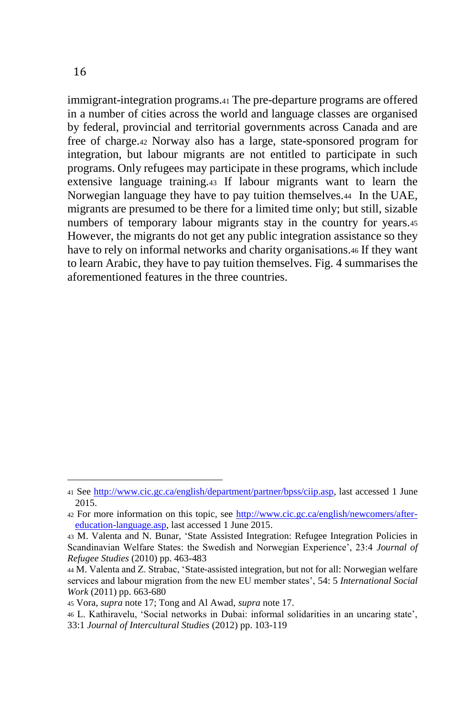immigrant-integration programs.<sup>41</sup> The pre-departure programs are offered in a number of cities across the world and language classes are organised by federal, provincial and territorial governments across Canada and are free of charge.<sup>42</sup> Norway also has a large, state-sponsored program for integration, but labour migrants are not entitled to participate in such programs. Only refugees may participate in these programs, which include extensive language training.<sup>43</sup> If labour migrants want to learn the Norwegian language they have to pay tuition themselves.44 In the UAE, migrants are presumed to be there for a limited time only; but still, sizable numbers of temporary labour migrants stay in the country for years.<sup>45</sup> However, the migrants do not get any public integration assistance so they have to rely on informal networks and charity organisations.<sup>46</sup> If they want to learn Arabic, they have to pay tuition themselves. Fig. 4 summarises the aforementioned features in the three countries.

16

<u>.</u>

<sup>41</sup> See [http://www.cic.gc.ca/english/department/partner/bpss/ciip.asp,](http://www.cic.gc.ca/english/department/partner/bpss/ciip.asp) last accessed 1 June 2015.

<sup>42</sup> For more information on this topic, see [http://www.cic.gc.ca/english/newcomers/after](http://www.cic.gc.ca/english/newcomers/after-education-language.asp)[education-language.asp,](http://www.cic.gc.ca/english/newcomers/after-education-language.asp) last accessed 1 June 2015.

<sup>43</sup> M. Valenta and N. Bunar, 'State Assisted Integration: Refugee Integration Policies in Scandinavian Welfare States: the Swedish and Norwegian Experience', 23:4 *Journal of Refugee Studies* (2010) pp. 463-483

<sup>44</sup> M. Valenta and Z. Strabac, 'State-assisted integration, but not for all: Norwegian welfare services and labour migration from the new EU member states', 54: 5 *[International Social](http://isw.sagepub.com/)  [Work](http://isw.sagepub.com/)* (2011) pp. 663-680

<sup>45</sup> Vora, *supra* note 17; Tong and Al Awad, *supra* note 17.

<sup>46</sup> L. Kathiravelu, 'Social networks in Dubai: informal solidarities in an uncaring state', 33:1 *Journal of Intercultural Studies* (2012) pp. 103-119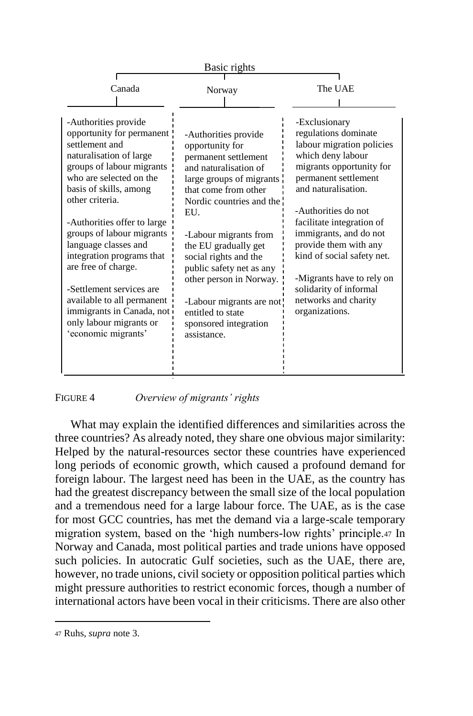| Basic rights                                                                                                                                                                                                                                                                                                                                                                                                                                                                         |                                                                                                                                                                                                                                                                                                                                                                                                            |                                                                                                                                                                                                                                                                                                                                                                                                          |
|--------------------------------------------------------------------------------------------------------------------------------------------------------------------------------------------------------------------------------------------------------------------------------------------------------------------------------------------------------------------------------------------------------------------------------------------------------------------------------------|------------------------------------------------------------------------------------------------------------------------------------------------------------------------------------------------------------------------------------------------------------------------------------------------------------------------------------------------------------------------------------------------------------|----------------------------------------------------------------------------------------------------------------------------------------------------------------------------------------------------------------------------------------------------------------------------------------------------------------------------------------------------------------------------------------------------------|
| Canada                                                                                                                                                                                                                                                                                                                                                                                                                                                                               | Norway                                                                                                                                                                                                                                                                                                                                                                                                     | The UAE                                                                                                                                                                                                                                                                                                                                                                                                  |
| -Authorities provide<br>opportunity for permanent<br>settlement and<br>naturalisation of large<br>groups of labour migrants<br>who are selected on the<br>basis of skills, among<br>other criteria.<br>-Authorities offer to large<br>groups of labour migrants<br>language classes and<br>integration programs that<br>are free of charge.<br>-Settlement services are<br>available to all permanent<br>immigrants in Canada, not<br>only labour migrants or<br>'economic migrants' | -Authorities provide<br>opportunity for<br>permanent settlement<br>and naturalisation of<br>large groups of migrants<br>that come from other<br>Nordic countries and the<br>EU.<br>-Labour migrants from<br>the EU gradually get<br>social rights and the<br>public safety net as any<br>other person in Norway.<br>-Labour migrants are not!<br>entitled to state<br>sponsored integration<br>assistance. | -Exclusionary<br>regulations dominate<br>labour migration policies<br>which deny labour<br>migrants opportunity for<br>permanent settlement<br>and naturalisation.<br>-Authorities do not<br>facilitate integration of<br>immigrants, and do not<br>provide them with any<br>kind of social safety net.<br>-Migrants have to rely on<br>solidarity of informal<br>networks and charity<br>organizations. |

## FIGURE 4 *Overview of migrants' rights*

What may explain the identified differences and similarities across the three countries? As already noted, they share one obvious major similarity: Helped by the natural-resources sector these countries have experienced long periods of economic growth, which caused a profound demand for foreign labour. The largest need has been in the UAE, as the country has had the greatest discrepancy between the small size of the local population and a tremendous need for a large labour force. The UAE, as is the case for most GCC countries, has met the demand via a large-scale temporary migration system, based on the 'high numbers-low rights' principle.<sup>47</sup> In Norway and Canada, most political parties and trade unions have opposed such policies. In autocratic Gulf societies, such as the UAE, there are, however, no trade unions, civil society or opposition political parties which might pressure authorities to restrict economic forces, though a number of international actors have been vocal in their criticisms. There are also other

<sup>47</sup> Ruhs, *supra* note 3.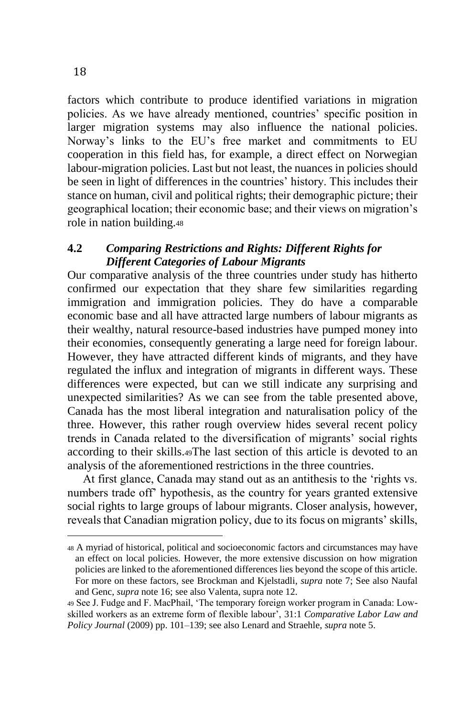factors which contribute to produce identified variations in migration policies. As we have already mentioned, countries' specific position in larger migration systems may also influence the national policies. Norway's links to the EU's free market and commitments to EU cooperation in this field has, for example, a direct effect on Norwegian labour-migration policies. Last but not least, the nuances in policies should be seen in light of differences in the countries' history. This includes their stance on human, civil and political rights; their demographic picture; their geographical location; their economic base; and their views on migration's role in nation building.<sup>48</sup>

## **4.2** *Comparing Restrictions and Rights: Different Rights for Different Categories of Labour Migrants*

Our comparative analysis of the three countries under study has hitherto confirmed our expectation that they share few similarities regarding immigration and immigration policies. They do have a comparable economic base and all have attracted large numbers of labour migrants as their wealthy, natural resource-based industries have pumped money into their economies, consequently generating a large need for foreign labour. However, they have attracted different kinds of migrants, and they have regulated the influx and integration of migrants in different ways. These differences were expected, but can we still indicate any surprising and unexpected similarities? As we can see from the table presented above, Canada has the most liberal integration and naturalisation policy of the three. However, this rather rough overview hides several recent policy trends in Canada related to the diversification of migrants' social rights according to their skills.49The last section of this article is devoted to an analysis of the aforementioned restrictions in the three countries.

At first glance, Canada may stand out as an antithesis to the 'rights vs. numbers trade off' hypothesis, as the country for years granted extensive social rights to large groups of labour migrants. Closer analysis, however, reveals that Canadian migration policy, due to its focus on migrants' skills,

<sup>48</sup> A myriad of historical, political and socioeconomic factors and circumstances may have an effect on local policies. However, the more extensive discussion on how migration policies are linked to the aforementioned differences lies beyond the scope of this article. For more on these factors, see Brockman and Kjelstadli, *supra* note 7; See also Naufal and Genc, *supra* note 16; see also Valenta, supra note 12.

<sup>49</sup> See J. Fudge and F. MacPhail, 'The temporary foreign worker program in Canada: Lowskilled workers as an extreme form of flexible labour', 31:1 *Comparative Labor Law and Policy Journal* (2009) pp. 101–139; see also Lenard and Straehle, *supra* note 5.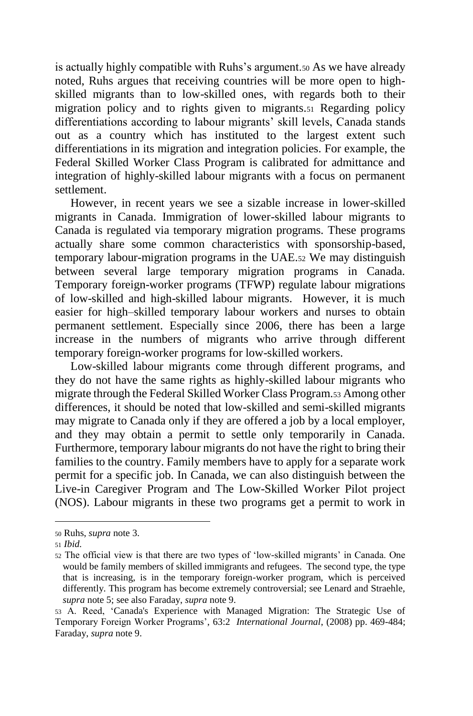is actually highly compatible with Ruhs's argument.<sup>50</sup> As we have already noted, Ruhs argues that receiving countries will be more open to highskilled migrants than to low-skilled ones, with regards both to their migration policy and to rights given to migrants.<sup>51</sup> Regarding policy differentiations according to labour migrants' skill levels, Canada stands out as a country which has instituted to the largest extent such differentiations in its migration and integration policies. For example, the Federal Skilled Worker Class Program is calibrated for admittance and integration of highly-skilled labour migrants with a focus on permanent settlement.

However, in recent years we see a sizable increase in lower-skilled migrants in Canada. Immigration of lower-skilled labour migrants to Canada is regulated via temporary migration programs. These programs actually share some common characteristics with sponsorship-based, temporary labour-migration programs in the UAE.<sup>52</sup> We may distinguish between several large temporary migration programs in Canada. Temporary foreign-worker programs (TFWP) regulate labour migrations of low-skilled and high-skilled labour migrants. However, it is much easier for high–skilled temporary labour workers and nurses to obtain permanent settlement. Especially since 2006, there has been a large increase in the numbers of migrants who arrive through different temporary foreign-worker programs for low-skilled workers.

Low-skilled labour migrants come through different programs, and they do not have the same rights as highly-skilled labour migrants who migrate through the Federal Skilled Worker Class Program.<sup>53</sup> Among other differences, it should be noted that low-skilled and semi-skilled migrants may migrate to Canada only if they are offered a job by a local employer, and they may obtain a permit to settle only temporarily in Canada. Furthermore, temporary labour migrants do not have the right to bring their families to the country. Family members have to apply for a separate work permit for a specific job. In Canada, we can also distinguish between the Live-in Caregiver Program and The Low-Skilled Worker Pilot project (NOS). Labour migrants in these two programs get a permit to work in

<sup>50</sup> Ruhs, *supra* note 3.

<sup>51</sup> *Ibid.*

<sup>52</sup> The official view is that there are two types of 'low-skilled migrants' in Canada. One would be family members of skilled immigrants and refugees. The second type, the type that is increasing, is in the temporary foreign-worker program, which is perceived differently. This program has become extremely controversial; see Lenard and Straehle, *supra* note 5; see also Faraday, *supra* note 9.

<sup>53</sup> A. Reed, 'Canada's Experience with Managed Migration: The Strategic Use of Temporary Foreign Worker Programs', 63:2 *International Journal*, (2008) pp. 469-484; Faraday, *supra* note 9.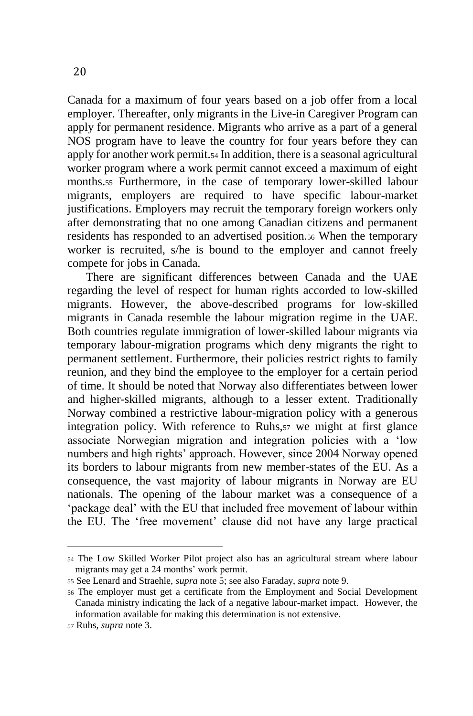Canada for a maximum of four years based on a job offer from a local employer. Thereafter, only migrants in the Live-in Caregiver Program can apply for permanent residence. Migrants who arrive as a part of a general NOS program have to leave the country for four years before they can apply for another work permit.<sup>54</sup> In addition, there is a seasonal agricultural worker program where a work permit cannot exceed a maximum of eight months.<sup>55</sup> Furthermore, in the case of temporary lower-skilled labour migrants, employers are required to have specific labour-market justifications. Employers may recruit the temporary foreign workers only after demonstrating that no one among Canadian citizens and permanent residents has responded to an advertised position.<sup>56</sup> When the temporary worker is recruited, s/he is bound to the employer and cannot freely compete for jobs in Canada.

There are significant differences between Canada and the UAE regarding the level of respect for human rights accorded to low-skilled migrants. However, the above-described programs for low-skilled migrants in Canada resemble the labour migration regime in the UAE. Both countries regulate immigration of lower-skilled labour migrants via temporary labour-migration programs which deny migrants the right to permanent settlement. Furthermore, their policies restrict rights to family reunion, and they bind the employee to the employer for a certain period of time. It should be noted that Norway also differentiates between lower and higher-skilled migrants, although to a lesser extent. Traditionally Norway combined a restrictive labour-migration policy with a generous integration policy. With reference to Ruhs,<sup>57</sup> we might at first glance associate Norwegian migration and integration policies with a 'low numbers and high rights' approach. However, since 2004 Norway opened its borders to labour migrants from new member-states of the EU. As a consequence, the vast majority of labour migrants in Norway are EU nationals. The opening of the labour market was a consequence of a 'package deal' with the EU that included free movement of labour within the EU. The 'free movement' clause did not have any large practical

<u>.</u>

<sup>54</sup> The Low Skilled Worker Pilot project also has an agricultural stream where labour migrants may get a 24 months' work permit.

<sup>55</sup> See Lenard and Straehle, *supra* note 5; see also Faraday, *supra* note 9.

<sup>56</sup> The employer must get a certificate from the Employment and Social Development Canada ministry indicating the lack of a negative labour-market impact. However, the information available for making this determination is not extensive.

<sup>57</sup> Ruhs, *supra* note 3.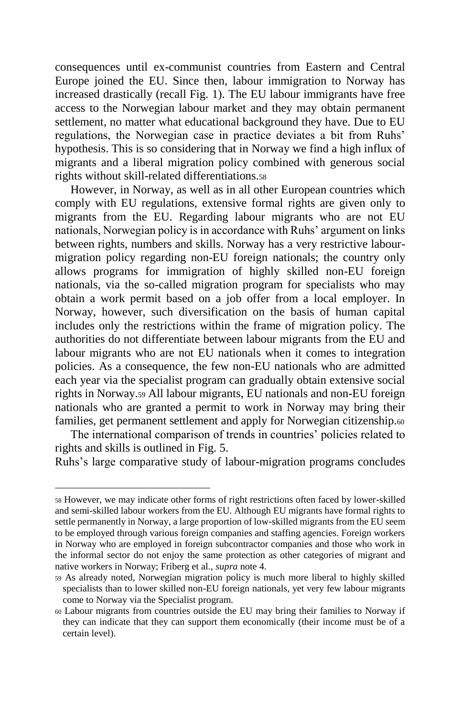consequences until ex-communist countries from Eastern and Central Europe joined the EU. Since then, labour immigration to Norway has increased drastically (recall Fig. 1). The EU labour immigrants have free access to the Norwegian labour market and they may obtain permanent settlement, no matter what educational background they have. Due to EU regulations, the Norwegian case in practice deviates a bit from Ruhs' hypothesis. This is so considering that in Norway we find a high influx of migrants and a liberal migration policy combined with generous social rights without skill-related differentiations.<sup>58</sup>

However, in Norway, as well as in all other European countries which comply with EU regulations, extensive formal rights are given only to migrants from the EU. Regarding labour migrants who are not EU nationals, Norwegian policy is in accordance with Ruhs' argument on links between rights, numbers and skills. Norway has a very restrictive labourmigration policy regarding non-EU foreign nationals; the country only allows programs for immigration of highly skilled non-EU foreign nationals, via the so-called migration program for specialists who may obtain a work permit based on a job offer from a local employer. In Norway, however, such diversification on the basis of human capital includes only the restrictions within the frame of migration policy. The authorities do not differentiate between labour migrants from the EU and labour migrants who are not EU nationals when it comes to integration policies. As a consequence, the few non-EU nationals who are admitted each year via the specialist program can gradually obtain extensive social rights in Norway.<sup>59</sup> All labour migrants, EU nationals and non-EU foreign nationals who are granted a permit to work in Norway may bring their families, get permanent settlement and apply for Norwegian citizenship.<sup>60</sup>

The international comparison of trends in countries' policies related to rights and skills is outlined in Fig. 5.

Ruhs's large comparative study of labour-migration programs concludes

<sup>58</sup> However, we may indicate other forms of right restrictions often faced by lower-skilled and semi-skilled labour workers from the EU. Although EU migrants have formal rights to settle permanently in Norway, a large proportion of low-skilled migrants from the EU seem to be employed through various foreign companies and staffing agencies. Foreign workers in Norway who are employed in foreign subcontractor companies and those who work in the informal sector do not enjoy the same protection as other categories of migrant and native workers in Norway; Friberg et al., *supra* note 4.

<sup>59</sup> As already noted, Norwegian migration policy is much more liberal to highly skilled specialists than to lower skilled non-EU foreign nationals, yet very few labour migrants come to Norway via the Specialist program.

<sup>60</sup> Labour migrants from countries outside the EU may bring their families to Norway if they can indicate that they can support them economically (their income must be of a certain level).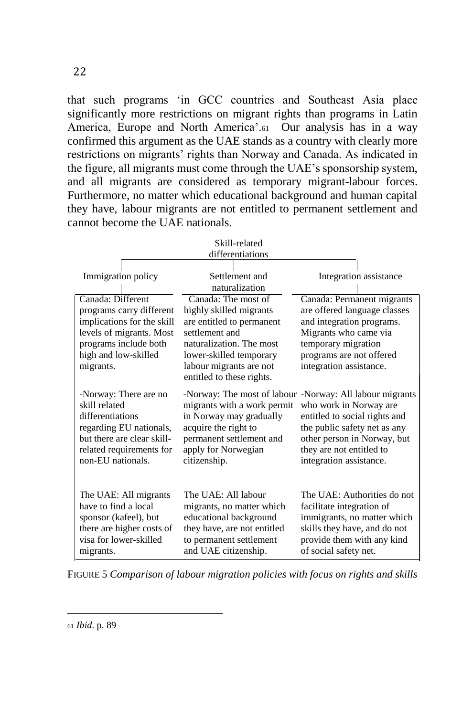that such programs 'in GCC countries and Southeast Asia place significantly more restrictions on migrant rights than programs in Latin America, Europe and North America'.61 Our analysis has in a way confirmed this argument as the UAE stands as a country with clearly more restrictions on migrants' rights than Norway and Canada. As indicated in the figure, all migrants must come through the UAE's sponsorship system, and all migrants are considered as temporary migrant-labour forces. Furthermore, no matter which educational background and human capital they have, labour migrants are not entitled to permanent settlement and cannot become the UAE nationals.

| Skill-related                                                                                                                                                         |                                                                                                                                                                                                              |                                                                                                                                                                                                                                           |  |
|-----------------------------------------------------------------------------------------------------------------------------------------------------------------------|--------------------------------------------------------------------------------------------------------------------------------------------------------------------------------------------------------------|-------------------------------------------------------------------------------------------------------------------------------------------------------------------------------------------------------------------------------------------|--|
| differentiations                                                                                                                                                      |                                                                                                                                                                                                              |                                                                                                                                                                                                                                           |  |
| Immigration policy                                                                                                                                                    | Settlement and<br>naturalization                                                                                                                                                                             | Integration assistance                                                                                                                                                                                                                    |  |
| Canada: Different<br>programs carry different<br>implications for the skill<br>levels of migrants. Most<br>programs include both<br>high and low-skilled<br>migrants. | Canada: The most of<br>highly skilled migrants<br>are entitled to permanent<br>settlement and<br>naturalization. The most<br>lower-skilled temporary<br>labour migrants are not<br>entitled to these rights. | Canada: Permanent migrants<br>are offered language classes<br>and integration programs.<br>Migrants who came via<br>temporary migration<br>programs are not offered<br>integration assistance.                                            |  |
| -Norway: There are no<br>skill related<br>differentiations<br>regarding EU nationals,<br>but there are clear skill-<br>related requirements for<br>non-EU nationals.  | migrants with a work permit<br>in Norway may gradually<br>acquire the right to<br>permanent settlement and<br>apply for Norwegian<br>citizenship.                                                            | -Norway: The most of labour -Norway: All labour migrants<br>who work in Norway are<br>entitled to social rights and<br>the public safety net as any<br>other person in Norway, but<br>they are not entitled to<br>integration assistance. |  |
| The UAE: All migrants<br>have to find a local<br>sponsor (kafeel), but<br>there are higher costs of<br>visa for lower-skilled<br>migrants.                            | The UAE: All labour<br>migrants, no matter which<br>educational background<br>they have, are not entitled<br>to permanent settlement<br>and UAE citizenship.                                                 | The UAE: Authorities do not<br>facilitate integration of<br>immigrants, no matter which<br>skills they have, and do not<br>provide them with any kind<br>of social safety net.                                                            |  |

FIGURE 5 *Comparison of labour migration policies with focus on rights and skills*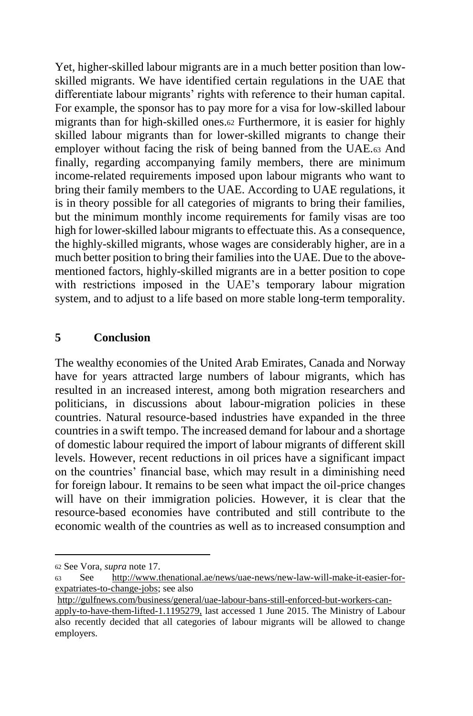Yet, higher-skilled labour migrants are in a much better position than lowskilled migrants. We have identified certain regulations in the UAE that differentiate labour migrants' rights with reference to their human capital. For example, the sponsor has to pay more for a visa for low-skilled labour migrants than for high-skilled ones.<sup>62</sup> Furthermore, it is easier for highly skilled labour migrants than for lower-skilled migrants to change their employer without facing the risk of being banned from the UAE.<sup>63</sup> And finally, regarding accompanying family members, there are minimum income-related requirements imposed upon labour migrants who want to bring their family members to the UAE. According to UAE regulations, it is in theory possible for all categories of migrants to bring their families, but the minimum monthly income requirements for family visas are too high for lower-skilled labour migrants to effectuate this. As a consequence, the highly-skilled migrants, whose wages are considerably higher, are in a much better position to bring their families into the UAE. Due to the abovementioned factors, highly-skilled migrants are in a better position to cope with restrictions imposed in the UAE's temporary labour migration system, and to adjust to a life based on more stable long-term temporality.

## **5 Conclusion**

The wealthy economies of the United Arab Emirates, Canada and Norway have for years attracted large numbers of labour migrants, which has resulted in an increased interest, among both migration researchers and politicians, in discussions about labour-migration policies in these countries. Natural resource-based industries have expanded in the three countries in a swift tempo. The increased demand for labour and a shortage of domestic labour required the import of labour migrants of different skill levels. However, recent reductions in oil prices have a significant impact on the countries' financial base, which may result in a diminishing need for foreign labour. It remains to be seen what impact the oil-price changes will have on their immigration policies. However, it is clear that the resource-based economies have contributed and still contribute to the economic wealth of the countries as well as to increased consumption and

<sup>62</sup> See Vora, *supra* note 17.

<sup>63</sup> See [http://www.thenational.ae/news/uae-news/new-law-will-make-it-easier-for](http://www.thenational.ae/news/uae-news/new-law-will-make-it-easier-for-expatriates-to-change-jobs)[expatriates-to-change-jobs;](http://www.thenational.ae/news/uae-news/new-law-will-make-it-easier-for-expatriates-to-change-jobs) see also

[http://gulfnews.com/business/general/uae-labour-bans-still-enforced-but-workers-can-](http://gulfnews.com/business/general/uae-labour-bans-still-enforced-but-workers-can-apply-to-have-them-lifted-1.1195279)

[apply-to-have-them-lifted-1.1195279,](http://gulfnews.com/business/general/uae-labour-bans-still-enforced-but-workers-can-apply-to-have-them-lifted-1.1195279) last accessed 1 June 2015. The Ministry of Labour also recently decided that all categories of labour migrants will be allowed to change employers.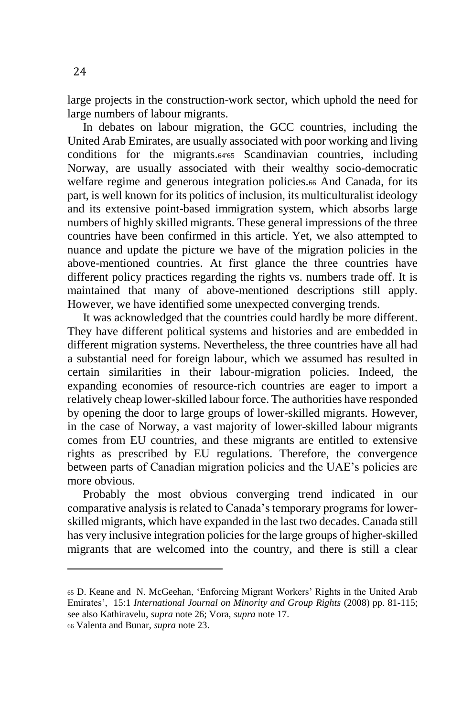large projects in the construction-work sector, which uphold the need for large numbers of labour migrants.

In debates on labour migration, the GCC countries, including the United Arab Emirates, are usually associated with poor working and living conditions for the migrants.64% Scandinavian countries, including Norway, are usually associated with their wealthy socio-democratic welfare regime and generous integration policies.<sup>66</sup> And Canada, for its part, is well known for its politics of inclusion, its multiculturalist ideology and its extensive point-based immigration system, which absorbs large numbers of highly skilled migrants. These general impressions of the three countries have been confirmed in this article. Yet, we also attempted to nuance and update the picture we have of the migration policies in the above-mentioned countries. At first glance the three countries have different policy practices regarding the rights vs. numbers trade off. It is maintained that many of above-mentioned descriptions still apply. However, we have identified some unexpected converging trends.

It was acknowledged that the countries could hardly be more different. They have different political systems and histories and are embedded in different migration systems. Nevertheless, the three countries have all had a substantial need for foreign labour, which we assumed has resulted in certain similarities in their labour-migration policies. Indeed, the expanding economies of resource-rich countries are eager to import a relatively cheap lower-skilled labour force. The authorities have responded by opening the door to large groups of lower-skilled migrants. However, in the case of Norway, a vast majority of lower-skilled labour migrants comes from EU countries, and these migrants are entitled to extensive rights as prescribed by EU regulations. Therefore, the convergence between parts of Canadian migration policies and the UAE's policies are more obvious.

Probably the most obvious converging trend indicated in our comparative analysis is related to Canada's temporary programs for lowerskilled migrants, which have expanded in the last two decades. Canada still has very inclusive integration policies for the large groups of higher-skilled migrants that are welcomed into the country, and there is still a clear

<u>.</u>

<sup>65</sup> D. [Keane](http://booksandjournals.brillonline.com/search?value1=&option1=all&value2=David+Keane&option2=author) and [N. McGeehan,](http://booksandjournals.brillonline.com/search?value1=&option1=all&value2=Nicholas+McGeehan&option2=author) 'Enforcing Migrant Workers' Rights in the United Arab Emirates', [15:1](http://booksandjournals.brillonline.com/content/journals/15718115/15/1) *[International Journal on Minority and Group Rights](http://booksandjournals.brillonline.com/content/journals/15718115)* (2008) pp. 81-115; see also Kathiravelu, *supra* note 26; Vora, *supra* note 17.